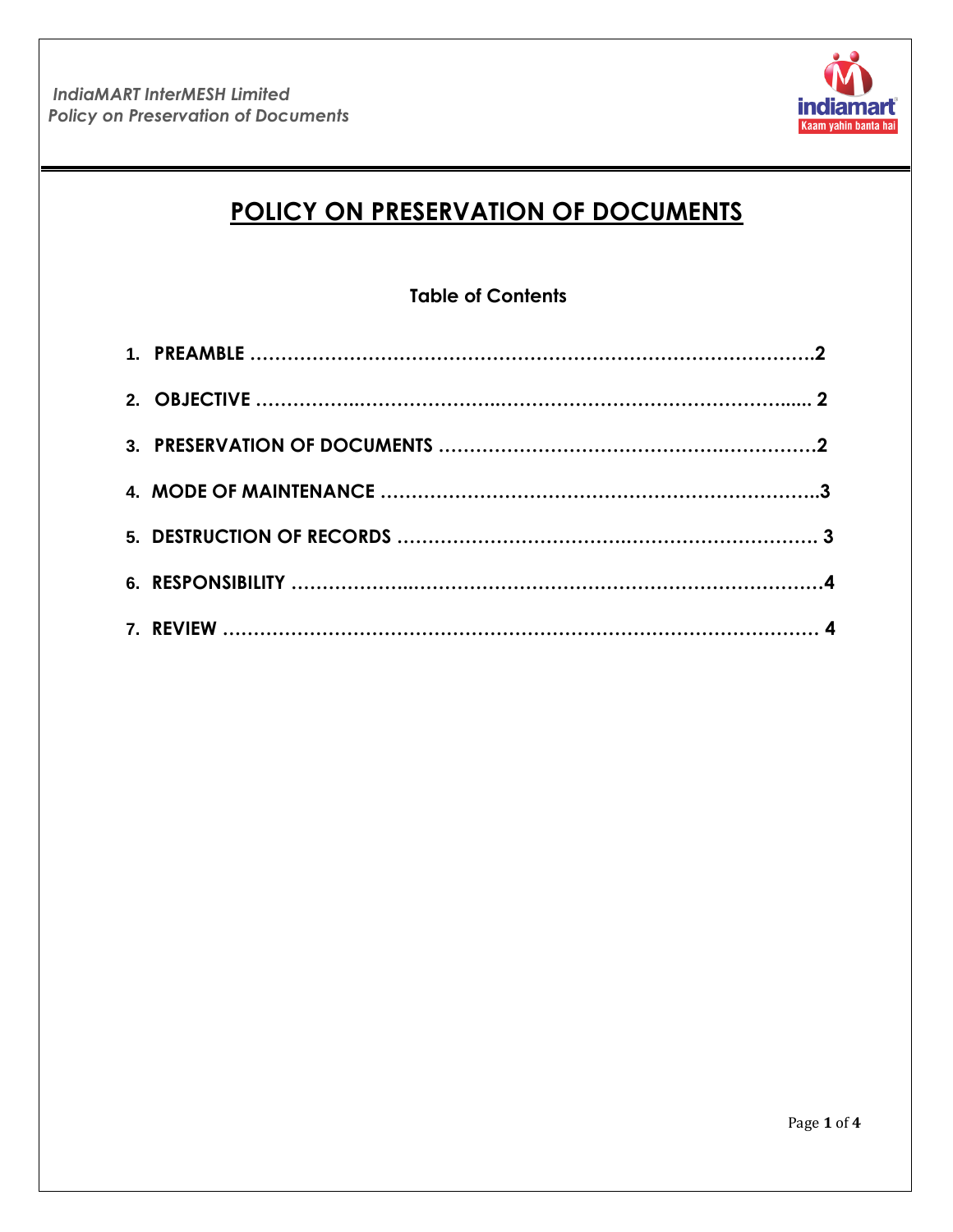

# **POLICY ON PRESERVATION OF DOCUMENTS**

# **Table of Contents**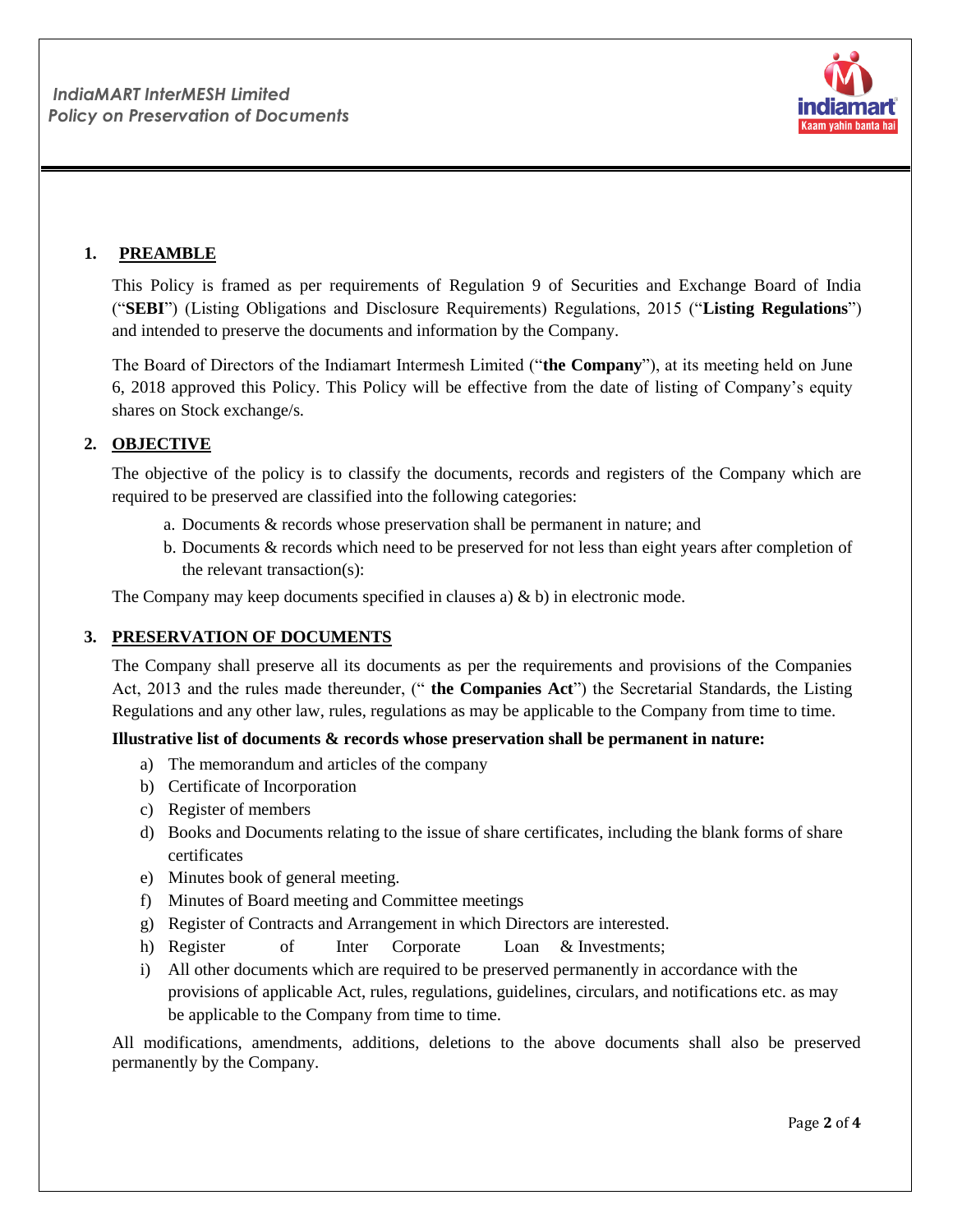

# **1. PREAMBLE**

This Policy is framed as per requirements of Regulation 9 of Securities and Exchange Board of India ("**SEBI**") (Listing Obligations and Disclosure Requirements) Regulations, 2015 ("**Listing Regulations**") and intended to preserve the documents and information by the Company.

The Board of Directors of the Indiamart Intermesh Limited ("**the Company**"), at its meeting held on June 6, 2018 approved this Policy. This Policy will be effective from the date of listing of Company's equity shares on Stock exchange/s.

# **2. OBJECTIVE**

The objective of the policy is to classify the documents, records and registers of the Company which are required to be preserved are classified into the following categories:

- a. Documents & records whose preservation shall be permanent in nature; and
- b. Documents & records which need to be preserved for not less than eight years after completion of the relevant transaction(s):

The Company may keep documents specified in clauses a) & b) in electronic mode.

# **3. PRESERVATION OF DOCUMENTS**

The Company shall preserve all its documents as per the requirements and provisions of the Companies Act, 2013 and the rules made thereunder, (" **the Companies Act**") the Secretarial Standards, the Listing Regulations and any other law, rules, regulations as may be applicable to the Company from time to time.

#### **Illustrative list of documents & records whose preservation shall be permanent in nature:**

- a) The memorandum and articles of the company
- b) Certificate of Incorporation
- c) Register of members
- d) Books and Documents relating to the issue of share certificates, including the blank forms of share certificates
- e) Minutes book of general meeting.
- f) Minutes of Board meeting and Committee meetings
- g) Register of Contracts and Arrangement in which Directors are interested.
- h) Register of Inter Corporate Loan & Investments;
- i) All other documents which are required to be preserved permanently in accordance with the provisions of applicable Act, rules, regulations, guidelines, circulars, and notifications etc. as may be applicable to the Company from time to time.

All modifications, amendments, additions, deletions to the above documents shall also be preserved permanently by the Company.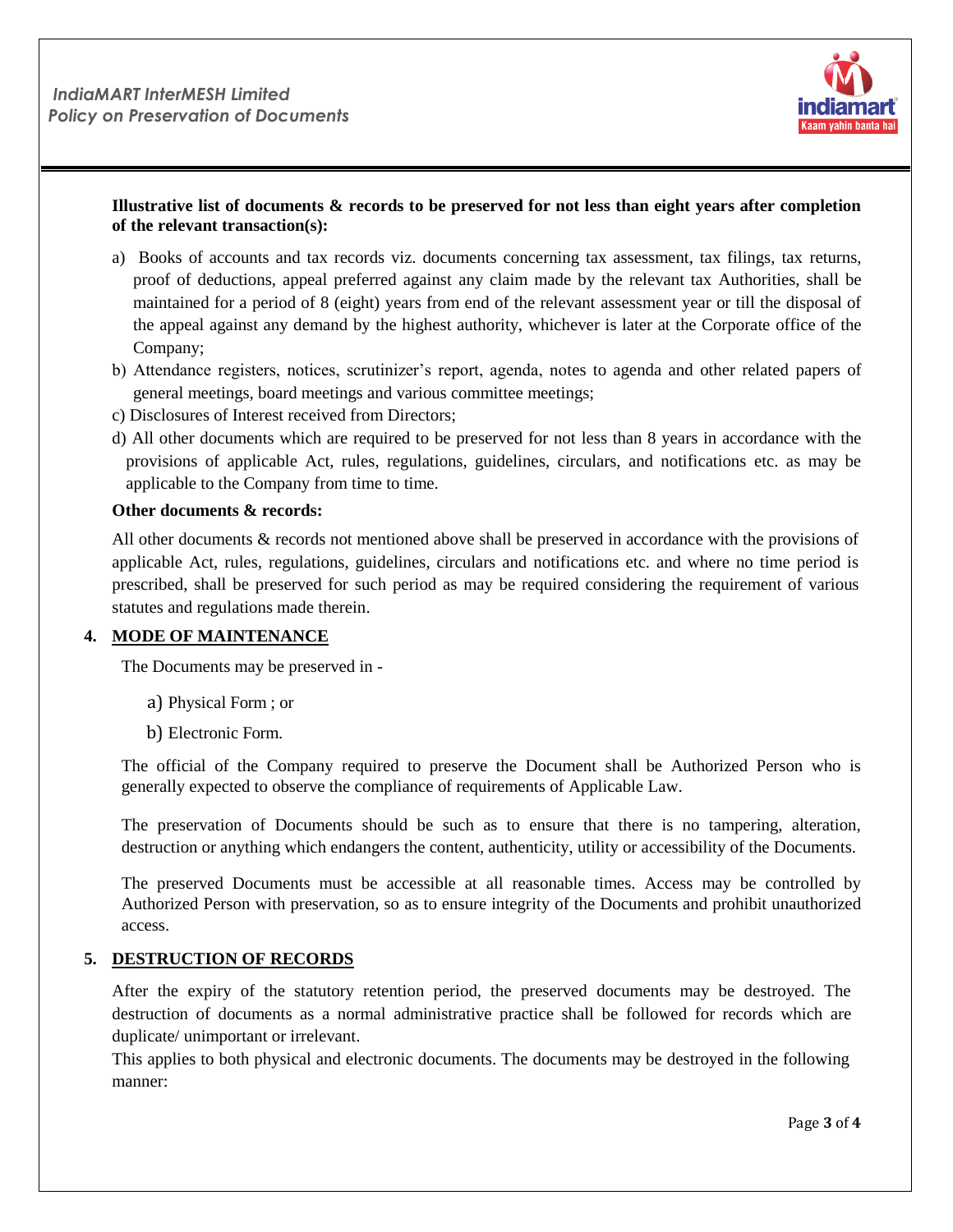

## **Illustrative list of documents & records to be preserved for not less than eight years after completion of the relevant transaction(s):**

- a) Books of accounts and tax records viz. documents concerning tax assessment, tax filings, tax returns, proof of deductions, appeal preferred against any claim made by the relevant tax Authorities, shall be maintained for a period of 8 (eight) years from end of the relevant assessment year or till the disposal of the appeal against any demand by the highest authority, whichever is later at the Corporate office of the Company;
- b) Attendance registers, notices, scrutinizer's report, agenda, notes to agenda and other related papers of general meetings, board meetings and various committee meetings;
- c) Disclosures of Interest received from Directors;
- d) All other documents which are required to be preserved for not less than 8 years in accordance with the provisions of applicable Act, rules, regulations, guidelines, circulars, and notifications etc. as may be applicable to the Company from time to time.

#### **Other documents & records:**

All other documents & records not mentioned above shall be preserved in accordance with the provisions of applicable Act, rules, regulations, guidelines, circulars and notifications etc. and where no time period is prescribed, shall be preserved for such period as may be required considering the requirement of various statutes and regulations made therein.

#### **4. MODE OF MAINTENANCE**

The Documents may be preserved in -

- a) Physical Form ; or
- b) Electronic Form.

The official of the Company required to preserve the Document shall be Authorized Person who is generally expected to observe the compliance of requirements of Applicable Law.

The preservation of Documents should be such as to ensure that there is no tampering, alteration, destruction or anything which endangers the content, authenticity, utility or accessibility of the Documents.

The preserved Documents must be accessible at all reasonable times. Access may be controlled by Authorized Person with preservation, so as to ensure integrity of the Documents and prohibit unauthorized access.

#### **5. DESTRUCTION OF RECORDS**

After the expiry of the statutory retention period, the preserved documents may be destroyed. The destruction of documents as a normal administrative practice shall be followed for records which are duplicate/ unimportant or irrelevant.

This applies to both physical and electronic documents. The documents may be destroyed in the following manner: